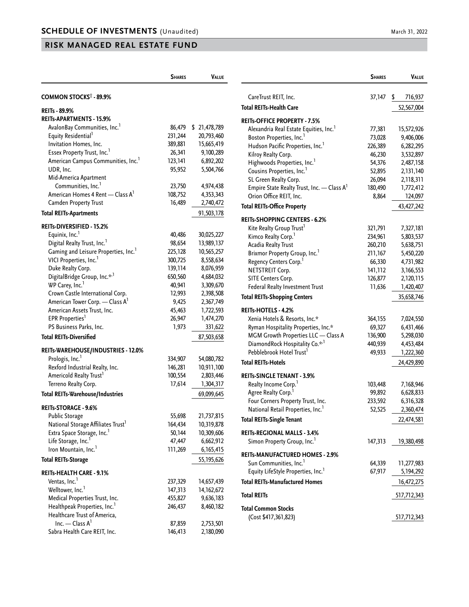|                                                  | <b>SHARES</b> | VALUE         |
|--------------------------------------------------|---------------|---------------|
| <b>COMMON STOCKS<sup>†</sup> - 89.9%</b>         |               |               |
| REITs - 89.9%                                    |               |               |
| REITs-APARTMENTS - 15.9%                         |               |               |
| AvalonBay Communities, Inc.1                     | 86,479        | \$ 21,478,789 |
| Equity Residential <sup>1</sup>                  | 231,244       | 20,793,460    |
| Invitation Homes, Inc.                           | 389,881       | 15,665,419    |
| Essex Property Trust, Inc.                       | 26,341        | 9,100,289     |
| American Campus Communities, Inc.                | 123,141       | 6,892,202     |
| UDR, Inc.                                        | 95,952        | 5,504,766     |
| Mid-America Apartment                            |               |               |
| Communities, Inc. <sup>1</sup>                   | 23,750        | 4,974,438     |
| American Homes 4 Rent - Class A <sup>1</sup>     | 108,752       | 4,353,343     |
| Camden Property Trust                            | 16,489        | 2,740,472     |
|                                                  |               |               |
| <b>Total REITs-Apartments</b>                    |               | 91,503,178    |
| <b>REITs-DIVERSIFIED - 15.2%</b>                 |               |               |
| Equinix, Inc. <sup>1</sup>                       | 40,486        | 30,025,227    |
| Digital Realty Trust, Inc.                       | 98,654        | 13,989,137    |
| Gaming and Leisure Properties, Inc. <sup>1</sup> | 225,128       | 10,565,257    |
| VICI Properties, Inc. <sup>1</sup>               | 300,725       | 8,558,634     |
| Duke Realty Corp.                                | 139,114       | 8,076,959     |
| DigitalBridge Group, Inc.* <sup>,1</sup>         | 650,560       | 4,684,032     |
| WP Carey, Inc.                                   | 40,941        | 3,309,670     |
| Crown Castle International Corp.                 | 12,993        | 2,398,508     |
| American Tower Corp. - Class A <sup>1</sup>      | 9,425         | 2,367,749     |
| American Assets Trust, Inc.                      | 45,463        | 1,722,593     |
| EPR Properties <sup>1</sup>                      | 26,947        | 1,474,270     |
| PS Business Parks, Inc.                          | 1,973         | 331,622       |
| <b>Total REITs-Diversified</b>                   |               | 87,503,658    |
| REITs-WAREHOUSE/INDUSTRIES - 12.0%               |               |               |
| Prologis, Inc.                                   | 334,907       | 54,080,782    |
| Rexford Industrial Realty, Inc.                  | 146,281       | 10,911,100    |
| Americold Realty Trust <sup>1</sup>              | 100,554       | 2,803,446     |
| Terreno Realty Corp.                             | 17,614        | 1,304,317     |
| <b>Total REITs-Warehouse/Industries</b>          |               | 69,099,645    |
|                                                  |               |               |
| <b>REITS-STORAGE - 9.6%</b>                      |               |               |
| Public Storage                                   | 55,698        | 21,737,815    |
| National Storage Affiliates Trust <sup>1</sup>   | 164,434       | 10,319,878    |
| Extra Space Storage, Inc. <sup>1</sup>           | 50,144        | 10,309,606    |
| Life Storage, Inc.                               | 47,447        | 6,662,912     |
| Iron Mountain, Inc. <sup>1</sup>                 | 111,269       | 6,165,415     |
| <b>Total REITs-Storage</b>                       |               | 55,195,626    |
| <b>REITs-HEALTH CARE - 9.1%</b>                  |               |               |
| Ventas, Inc. <sup>1</sup>                        | 237,329       | 14,657,439    |
| Welltower, Inc. <sup>1</sup>                     | 147,313       | 14, 162, 672  |
| Medical Properties Trust, Inc.                   | 455,827       | 9,636,183     |
| Healthpeak Properties, Inc.                      | 246,437       | 8,460,182     |
| Healthcare Trust of America,                     |               |               |
| Inc. - Class A <sup>1</sup>                      | 87,859        | 2,753,501     |
| Sabra Health Care REIT, Inc.                     | 146,413       | 2,180,090     |

|                                                                      | <b>SHARES</b>     | VALUE                   |
|----------------------------------------------------------------------|-------------------|-------------------------|
| CareTrust REIT, Inc.                                                 | 37,147            | \$<br>716,937           |
| <b>Total REITs-Health Care</b>                                       |                   | 52,567,004              |
| <b>REITS-OFFICE PROPERTY - 7.5%</b>                                  |                   |                         |
| Alexandria Real Estate Equities, Inc.                                | 77,381            |                         |
| Boston Properties, Inc. <sup>1</sup>                                 | 73,028            | 15,572,926<br>9,406,006 |
| Hudson Pacific Properties, Inc. <sup>1</sup>                         | 226,389           | 6,282,295               |
| Kilroy Realty Corp.                                                  | 46,230            | 3,532,897               |
| Highwoods Properties, Inc. <sup>1</sup>                              | 54,376            | 2,487,158               |
| Cousins Properties, Inc. <sup>1</sup>                                | 52,895            | 2,131,140               |
| SL Green Realty Corp.                                                | 26,094            | 2,118,311               |
| Empire State Realty Trust, Inc. - Class A <sup>1</sup>               | 180,490           | 1,772,412               |
| Orion Office REIT, Inc.                                              | 8,864             | 124,097                 |
| <b>Total REITs-Office Property</b>                                   |                   | 43,427,242              |
| <b>REITs-SHOPPING CENTERS - 6.2%</b>                                 |                   |                         |
| Kite Realty Group Trust <sup>1</sup>                                 | 321,791           | 7,327,181               |
| Kimco Realty Corp. <sup>1</sup>                                      | 234,961           | 5,803,537               |
| Acadia Realty Trust                                                  | 260,210           | 5,638,751               |
| Brixmor Property Group, Inc. <sup>1</sup>                            | 211,167           | 5,450,220               |
| Regency Centers Corp. <sup>1</sup>                                   | 66,330            | 4,731,982               |
| <b>NETSTREIT Corp.</b>                                               | 141,112           | 3,166,553               |
| SITE Centers Corp.                                                   | 126,877           | 2,120,115               |
| Federal Realty Investment Trust                                      | 11,636            | 1,420,407               |
| <b>Total REITs-Shopping Centers</b>                                  |                   | 35,658,746              |
| REITs-HOTELS - 4.2%                                                  |                   |                         |
| Xenia Hotels & Resorts, Inc.*                                        | 364,155           | 7,024,550               |
| Ryman Hospitality Properties, Inc.*                                  | 69,327            | 6,431,466               |
| MGM Growth Properties LLC - Class A                                  | 136,900           | 5,298,030               |
| DiamondRock Hospitality Co.* <sup>,1</sup>                           | 440,939           | 4,453,484               |
| Pebblebrook Hotel Trust <sup>1</sup>                                 | 49,933            | 1,222,360               |
| <b>Total REITs-Hotels</b>                                            |                   | 24,429,890              |
|                                                                      |                   |                         |
| <b>REITS-SINGLE TENANT - 3.9%</b>                                    |                   |                         |
| Realty Income Corp. <sup>1</sup>                                     | 103,448           | 7,168,946               |
| Agree Realty Corp. <sup>1</sup><br>Four Corners Property Trust, Inc. | 99,892            | 6,628,833               |
| National Retail Properties, Inc. <sup>1</sup>                        | 233,592<br>52,525 | 6,316,328<br>2,360,474  |
| <b>Total REITs-Single Tenant</b>                                     |                   | 22,474,581              |
|                                                                      |                   |                         |
| <b>REITs-REGIONAL MALLS - 3.4%</b>                                   |                   |                         |
| Simon Property Group, Inc. <sup>1</sup>                              | 147,313           | 19,380,498              |
| <b>REITs-MANUFACTURED HOMES - 2.9%</b>                               |                   |                         |
| Sun Communities, Inc. <sup>1</sup>                                   | 64,339            | 11,277,983              |
| Equity LifeStyle Properties, Inc. <sup>1</sup>                       | 67,917            | 5,194,292               |
| <b>Total REITs-Manufactured Homes</b>                                |                   | 16,472,275              |
| <b>Total REITs</b>                                                   |                   | 517,712,343             |
| <b>Total Common Stocks</b>                                           |                   |                         |
| (Cost \$417,361,823)                                                 |                   | 517,712,343             |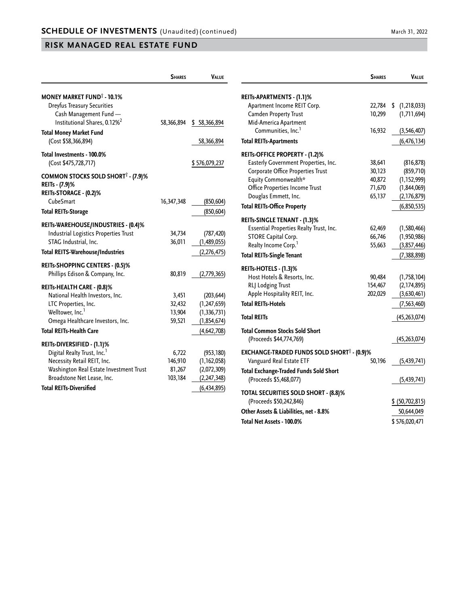|                                                               | <b>SHARES</b> | <b>VALUE</b>  |                                                    | <b>SHARES</b> | <b>VALUE</b>        |
|---------------------------------------------------------------|---------------|---------------|----------------------------------------------------|---------------|---------------------|
| <b>MONEY MARKET FUND<sup>®</sup> - 10.1%</b>                  |               |               | REITs-APARTMENTS - (1.1)%                          |               |                     |
| <b>Dreyfus Treasury Securities</b>                            |               |               | Apartment Income REIT Corp.                        | 22,784        | (1, 218, 033)<br>\$ |
| Cash Management Fund -                                        |               |               | Camden Property Trust                              | 10,299        | (1,711,694)         |
| Institutional Shares, 0.12% <sup>2</sup>                      | 58,366,894    | \$58,366,894  | Mid-America Apartment                              |               |                     |
| <b>Total Money Market Fund</b>                                |               |               | Communities, Inc. <sup>1</sup>                     | 16,932        | (3,546,407)         |
| (Cost \$58,366,894)                                           |               | 58,366,894    | <b>Total REITs-Apartments</b>                      |               | (6, 476, 134)       |
| Total Investments - 100.0%                                    |               |               | REITS-OFFICE PROPERTY - (1.2)%                     |               |                     |
| (Cost \$475,728,717)                                          |               | \$576,079,237 | Easterly Government Properties, Inc.               | 38,641        | (816, 878)          |
|                                                               |               |               | Corporate Office Properties Trust                  | 30,123        | (859,710)           |
| COMMON STOCKS SOLD SHORT <sup>†</sup> - (7.9)%                |               |               | Equity Commonwealth*                               | 40,872        | (1, 152, 999)       |
| REITs - (7.9)%                                                |               |               | Office Properties Income Trust                     | 71,670        | (1, 844, 069)       |
| REITs-STORAGE - (0.2)%<br>CubeSmart                           | 16,347,348    | (850, 604)    | Douglas Emmett, Inc.                               | 65,137        | (2,176,879)         |
| <b>Total REITs-Storage</b>                                    |               | (850, 604)    | <b>Total REITs-Office Property</b>                 |               | (6,850,535)         |
|                                                               |               |               | REITs-SINGLE TENANT - (1.3)%                       |               |                     |
| REITs-WAREHOUSE/INDUSTRIES - (0.4)%                           |               |               | Essential Properties Realty Trust, Inc.            | 62,469        | (1,580,466)         |
| Industrial Logistics Properties Trust                         | 34,734        | (787, 420)    | STORE Capital Corp.                                | 66,746        | (1,950,986)         |
| STAG Industrial, Inc.                                         | 36,011        | (1,489,055)   | Realty Income Corp. <sup>1</sup>                   | 55,663        | (3,857,446)         |
| <b>Total REITS-Warehouse/Industries</b>                       |               | (2, 276, 475) | <b>Total REITs-Single Tenant</b>                   |               | (7, 388, 898)       |
| REITs-SHOPPING CENTERS - (0.5)%                               |               |               | REITs-HOTELS - (1.3)%                              |               |                     |
| Phillips Edison & Company, Inc.                               | 80,819        | (2,779,365)   | Host Hotels & Resorts, Inc.                        | 90,484        | (1,758,104)         |
|                                                               |               |               | RLJ Lodging Trust                                  | 154,467       | (2, 174, 895)       |
| REITs-HEALTH CARE - (0.8)%<br>National Health Investors, Inc. | 3,451         | (203, 644)    | Apple Hospitality REIT, Inc.                       | 202,029       | (3,630,461)         |
| LTC Properties, Inc.                                          | 32,432        | (1, 247, 659) | <b>Total REITs-Hotels</b>                          |               | (7, 563, 460)       |
| Welltower, Inc. <sup>1</sup>                                  | 13,904        | (1, 336, 731) |                                                    |               |                     |
| Omega Healthcare Investors, Inc.                              | 59,521        | (1,854,674)   | <b>Total REITs</b>                                 |               | (45, 263, 074)      |
| <b>Total REITs-Health Care</b>                                |               | (4, 642, 708) | <b>Total Common Stocks Sold Short</b>              |               |                     |
| REITs-DIVERSIFIED - (1.1)%                                    |               |               | (Proceeds \$44,774,769)                            |               | (45, 263, 074)      |
| Digital Realty Trust, Inc. <sup>1</sup>                       | 6,722         | (953, 180)    | <b>EXCHANGE-TRADED FUNDS SOLD SHORT 1 - (0.9)%</b> |               |                     |
| Necessity Retail REIT, Inc.                                   | 146,910       | (1, 162, 058) | Vanguard Real Estate ETF                           | 50,196        | (5,439,741)         |
| Washington Real Estate Investment Trust                       | 81,267        | (2,072,309)   | <b>Total Exchange-Traded Funds Sold Short</b>      |               |                     |
| Broadstone Net Lease, Inc.                                    | 103,184       | (2, 247, 348) | (Proceeds \$5,468,077)                             |               | (5, 439, 741)       |
| <b>Total REITs-Diversified</b>                                |               | (6, 434, 895) |                                                    |               |                     |
|                                                               |               |               | <b>TOTAL SECURITIES SOLD SHORT - (8.8)%</b>        |               |                     |
|                                                               |               |               | (Proceeds \$50,242,846)                            |               | \$ (50,702,815)     |
|                                                               |               |               | Other Assets & Liabilities, net - 8.8%             |               | 50,644,049          |

**Total Net Assets - 100.0%** \$ 576,020,471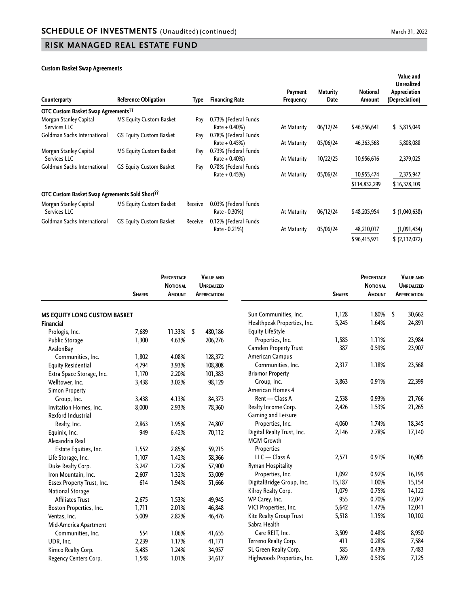#### **Custom Basket Swap Agreements**

| Counterparty                                                      | Reference Obligation           | Type    | <b>Financing Rate</b>                    | Payment<br><b>Frequency</b> | <b>Maturity</b><br>Date | Notional<br>Amount | Value and<br><b>Unrealized</b><br>Appreciation<br>(Depreciation) |
|-------------------------------------------------------------------|--------------------------------|---------|------------------------------------------|-----------------------------|-------------------------|--------------------|------------------------------------------------------------------|
| <b>OTC Custom Basket Swap Agreements</b> <sup>11</sup>            |                                |         |                                          |                             |                         |                    |                                                                  |
| Morgan Stanley Capital<br>Services LLC                            | <b>MS Equity Custom Basket</b> | Pay     | 0.73% (Federal Funds<br>$Rate + 0.40\%)$ | At Maturity                 | 06/12/24                | \$46,556,641       | \$5,815,049                                                      |
| Goldman Sachs International                                       | GS Equity Custom Basket        | Pay     | 0.78% (Federal Funds<br>$Rate + 0.45\%)$ | At Maturity                 | 05/06/24                | 46,363,568         | 5,808,088                                                        |
| Morgan Stanley Capital<br>Services LLC                            | <b>MS Equity Custom Basket</b> | Pay     | 0.73% (Federal Funds<br>$Rate + 0.40\%)$ | At Maturity                 | 10/22/25                | 10,956,616         | 2,379,025                                                        |
| Goldman Sachs International                                       | GS Equity Custom Basket        | Pay     | 0.78% (Federal Funds<br>$Rate + 0.45\%)$ | At Maturity                 | 05/06/24                | 10,955,474         | 2,375,947                                                        |
|                                                                   |                                |         |                                          |                             |                         | \$114,832,299      | \$16,378,109                                                     |
| <b>OTC Custom Basket Swap Agreements Sold Short</b> <sup>11</sup> |                                |         |                                          |                             |                         |                    |                                                                  |
| Morgan Stanley Capital<br>Services LLC                            | <b>MS Equity Custom Basket</b> | Receive | 0.03% (Federal Funds<br>Rate - 0.30%)    | At Maturity                 | 06/12/24                | \$48,205,954       | \$(1,040,638)                                                    |
| Goldman Sachs International                                       | GS Equity Custom Basket        | Receive | 0.12% (Federal Funds<br>Rate - 0.21%)    | At Maturity                 | 05/06/24                | 48,210,017         | (1,091,434)                                                      |
|                                                                   |                                |         |                                          |                             |                         | \$96,415,971       | (2,132,072)                                                      |

|                                     | <b>SHARES</b> | <b>PERCENTAGE</b><br><b>NOTIONAL</b><br>AMOUNT | <b>VALUE AND</b><br><b>UNREALIZED</b><br><b>APPRECIATION</b> |                              | <b>SHARES</b> | PERCENTAGE<br><b>NOTIONAL</b><br><b>AMOUNT</b> | <b>VALUE AND</b><br><b>UNREALIZED</b><br><b>APPRECIATION</b> |
|-------------------------------------|---------------|------------------------------------------------|--------------------------------------------------------------|------------------------------|---------------|------------------------------------------------|--------------------------------------------------------------|
| <b>MS EQUITY LONG CUSTOM BASKET</b> |               |                                                |                                                              | Sun Communities, Inc.        | 1,128         | 1.80%                                          | \$<br>30,662                                                 |
| <b>Financial</b>                    |               |                                                |                                                              | Healthpeak Properties, Inc.  | 5,245         | 1.64%                                          | 24,891                                                       |
| Prologis, Inc.                      | 7,689         | 11.33%                                         | 480,186<br>\$                                                | <b>Equity LifeStyle</b>      |               |                                                |                                                              |
| <b>Public Storage</b>               | 1,300         | 4.63%                                          | 206,276                                                      | Properties, Inc.             | 1,585         | 1.11%                                          | 23,984                                                       |
| AvalonBay                           |               |                                                |                                                              | <b>Camden Property Trust</b> | 387           | 0.59%                                          | 23,907                                                       |
| Communities, Inc.                   | 1,802         | 4.08%                                          | 128,372                                                      | American Campus              |               |                                                |                                                              |
| <b>Equity Residential</b>           | 4,794         | 3.93%                                          | 108,808                                                      | Communities, Inc.            | 2,317         | 1.18%                                          | 23,568                                                       |
| Extra Space Storage, Inc.           | 1,170         | 2.20%                                          | 101,383                                                      | <b>Brixmor Property</b>      |               |                                                |                                                              |
| Welltower, Inc.                     | 3,438         | 3.02%                                          | 98,129                                                       | Group, Inc.                  | 3,863         | 0.91%                                          | 22,399                                                       |
| <b>Simon Property</b>               |               |                                                |                                                              | American Homes 4             |               |                                                |                                                              |
| Group, Inc.                         | 3,438         | 4.13%                                          | 84,373                                                       | Rent - Class A               | 2,538         | 0.93%                                          | 21,766                                                       |
| Invitation Homes, Inc.              | 8,000         | 2.93%                                          | 78,360                                                       | Realty Income Corp.          | 2,426         | 1.53%                                          | 21,265                                                       |
| Rexford Industrial                  |               |                                                |                                                              | Gaming and Leisure           |               |                                                |                                                              |
| Realty, Inc.                        | 2,863         | 1.95%                                          | 74,807                                                       | Properties, Inc.             | 4,060         | 1.74%                                          | 18,345                                                       |
| Equinix, Inc.                       | 949           | 6.42%                                          | 70,112                                                       | Digital Realty Trust, Inc.   | 2,146         | 2.78%                                          | 17,140                                                       |
| Alexandria Real                     |               |                                                |                                                              | <b>MGM Growth</b>            |               |                                                |                                                              |
| Estate Equities, Inc.               | 1,552         | 2.85%                                          | 59,215                                                       | Properties                   |               |                                                |                                                              |
| Life Storage, Inc.                  | 1,107         | 1.42%                                          | 58,366                                                       | $LLC - Class A$              | 2,571         | 0.91%                                          | 16,905                                                       |
| Duke Realty Corp.                   | 3,247         | 1.72%                                          | 57,900                                                       | Ryman Hospitality            |               |                                                |                                                              |
| Iron Mountain, Inc.                 | 2,607         | 1.32%                                          | 53,009                                                       | Properties, Inc.             | 1,092         | 0.92%                                          | 16,199                                                       |
| Essex Property Trust, Inc.          | 614           | 1.94%                                          | 51,666                                                       | DigitalBridge Group, Inc.    | 15,187        | 1.00%                                          | 15,154                                                       |
| <b>National Storage</b>             |               |                                                |                                                              | Kilroy Realty Corp.          | 1,079         | 0.75%                                          | 14,122                                                       |
| Affiliates Trust                    | 2,675         | 1.53%                                          | 49,945                                                       | WP Carey, Inc.               | 955           | 0.70%                                          | 12,047                                                       |
| Boston Properties, Inc.             | 1,711         | 2.01%                                          | 46,848                                                       | VICI Properties, Inc.        | 5,642         | 1.47%                                          | 12,041                                                       |
| Ventas, Inc.                        | 5,009         | 2.82%                                          | 46,476                                                       | Kite Realty Group Trust      | 5,518         | 1.15%                                          | 10,102                                                       |
| Mid-America Apartment               |               |                                                |                                                              | Sabra Health                 |               |                                                |                                                              |
| Communities, Inc.                   | 554           | 1.06%                                          | 41,655                                                       | Care REIT, Inc.              | 3,509         | 0.48%                                          | 8,950                                                        |
| UDR, Inc.                           | 2,239         | 1.17%                                          | 41,171                                                       | Terreno Realty Corp.         | 411           | 0.28%                                          | 7,584                                                        |
| Kimco Realty Corp.                  | 5,485         | 1.24%                                          | 34,957                                                       | SL Green Realty Corp.        | 585           | 0.43%                                          | 7,483                                                        |
| Regency Centers Corp.               | 1,548         | 1.01%                                          | 34,617                                                       | Highwoods Properties, Inc.   | 1,269         | 0.53%                                          | 7,125                                                        |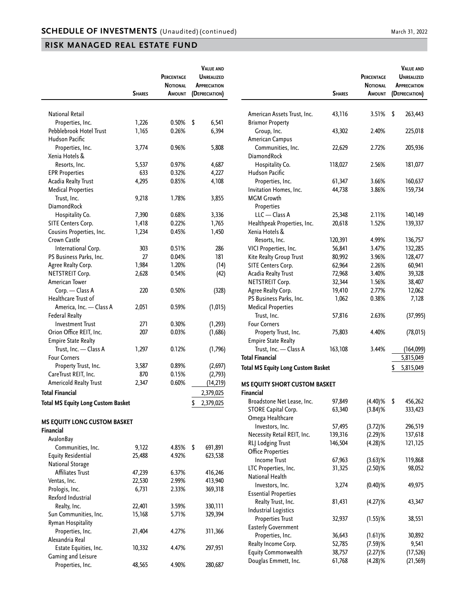|                                           | <b>SHARES</b> | PERCENTAGE<br><b>NOTIONAL</b><br>AMOUNT | <b>VALUE AND</b><br><b>UNREALIZED</b><br><b>APPRECIATION</b><br>(DEPRECIATION) |                                           | <b>SHARES</b> | PERCENTAGE<br><b>NOTIONAL</b><br>AMOUNT | <b>VALUE AND</b><br><b>UNREALIZED</b><br><b>APPRECIATION</b><br>(DEPRECIATION) |
|-------------------------------------------|---------------|-----------------------------------------|--------------------------------------------------------------------------------|-------------------------------------------|---------------|-----------------------------------------|--------------------------------------------------------------------------------|
|                                           |               |                                         |                                                                                |                                           |               |                                         |                                                                                |
| <b>National Retail</b>                    |               |                                         |                                                                                | American Assets Trust, Inc.               | 43,116        | 3.51%                                   | \$<br>263,443                                                                  |
| Properties, Inc.                          | 1,226         | 0.50%                                   | \$<br>6,541                                                                    | <b>Brixmor Property</b>                   |               |                                         |                                                                                |
| Pebblebrook Hotel Trust                   | 1,165         | 0.26%                                   | 6,394                                                                          | Group, Inc.                               | 43,302        | 2.40%                                   | 225,018                                                                        |
| Hudson Pacific                            |               |                                         |                                                                                | American Campus                           |               |                                         |                                                                                |
| Properties, Inc.                          | 3,774         | 0.96%                                   | 5,808                                                                          | Communities, Inc.                         | 22,629        | 2.72%                                   | 205,936                                                                        |
| Xenia Hotels &                            |               |                                         |                                                                                | DiamondRock                               |               |                                         |                                                                                |
| Resorts, Inc.                             | 5,537         | 0.97%                                   | 4,687                                                                          | Hospitality Co.                           | 118,027       | 2.56%                                   | 181,077                                                                        |
| <b>EPR Properties</b>                     | 633           | 0.32%                                   | 4,227                                                                          | Hudson Pacific                            |               |                                         |                                                                                |
| <b>Acadia Realty Trust</b>                | 4,295         | 0.85%                                   | 4,108                                                                          | Properties, Inc.                          | 61,347        | 3.66%                                   | 160,637                                                                        |
| <b>Medical Properties</b>                 |               |                                         |                                                                                | Invitation Homes, Inc.                    | 44,738        | 3.86%                                   | 159,734                                                                        |
| Trust, Inc.                               | 9,218         | 1.78%                                   | 3,855                                                                          | <b>MGM Growth</b>                         |               |                                         |                                                                                |
| DiamondRock                               |               |                                         |                                                                                | Properties                                |               |                                         |                                                                                |
| Hospitality Co.                           | 7,390         | 0.68%                                   | 3,336                                                                          | $LLC - Class A$                           | 25,348        | 2.11%                                   | 140,149                                                                        |
| SITE Centers Corp.                        | 1,418         | 0.22%                                   | 1,765                                                                          | Healthpeak Properties, Inc.               | 20,618        | 1.52%                                   | 139,337                                                                        |
| Cousins Properties, Inc.                  | 1,234         | 0.45%                                   | 1,450                                                                          | Xenia Hotels &                            |               |                                         |                                                                                |
| Crown Castle                              |               |                                         |                                                                                | Resorts, Inc.                             | 120,391       | 4.99%                                   | 136,757                                                                        |
| International Corp.                       | 303           | 0.51%                                   | 286                                                                            | VICI Properties, Inc.                     | 56,841        | 3.47%                                   | 132,285                                                                        |
| PS Business Parks, Inc.                   | 27            | 0.04%                                   | 181                                                                            | Kite Realty Group Trust                   | 80,992        | 3.96%                                   | 128,477                                                                        |
| Agree Realty Corp.                        | 1,984         | 1.20%                                   | (14)                                                                           | SITE Centers Corp.                        | 62,964        | 2.26%                                   | 60,941                                                                         |
| NETSTREIT Corp.                           | 2,628         | 0.54%                                   | (42)                                                                           | Acadia Realty Trust                       | 72,968        | 3.40%                                   | 39,328                                                                         |
| American Tower                            |               |                                         |                                                                                | NETSTREIT Corp.                           | 32,344        | 1.56%                                   |                                                                                |
|                                           |               |                                         |                                                                                |                                           |               |                                         | 38,407                                                                         |
| Corp. - Class A                           | 220           | 0.50%                                   | (328)                                                                          | Agree Realty Corp.                        | 19,410        | 2.77%                                   | 12,062                                                                         |
| Healthcare Trust of                       |               |                                         |                                                                                | PS Business Parks, Inc.                   | 1,062         | 0.38%                                   | 7,128                                                                          |
| America, Inc. - Class A                   | 2,051         | 0.59%                                   | (1, 015)                                                                       | <b>Medical Properties</b>                 |               |                                         |                                                                                |
| <b>Federal Realty</b>                     |               |                                         |                                                                                | Trust, Inc.                               | 57,816        | 2.63%                                   | (37, 995)                                                                      |
| <b>Investment Trust</b>                   | 271           | 0.30%                                   | (1, 293)                                                                       | <b>Four Corners</b>                       |               |                                         |                                                                                |
| Orion Office REIT, Inc.                   | 207           | 0.03%                                   | (1,686)                                                                        | Property Trust, Inc.                      | 75,803        | 4.40%                                   | (78, 015)                                                                      |
| <b>Empire State Realty</b>                |               |                                         |                                                                                | <b>Empire State Realty</b>                |               |                                         |                                                                                |
| Trust, Inc. - Class A                     | 1,297         | 0.12%                                   | (1,796)                                                                        | Trust, Inc. - Class A                     | 163,108       | 3.44%                                   | (164, 099)                                                                     |
| <b>Four Corners</b>                       |               |                                         |                                                                                | <b>Total Financial</b>                    |               |                                         | 5,815,049                                                                      |
| Property Trust, Inc.                      | 3,587         | 0.89%                                   | (2,697)                                                                        | <b>Total MS Equity Long Custom Basket</b> |               |                                         | 5,815,049<br>\$                                                                |
| CareTrust REIT, Inc.                      | 870           | 0.15%                                   | (2,793)                                                                        |                                           |               |                                         |                                                                                |
| Americold Realty Trust                    | 2,347         | 0.60%                                   | (14, 219)                                                                      | MS EQUITY SHORT CUSTOM BASKET             |               |                                         |                                                                                |
| <b>Total Financial</b>                    |               |                                         | 2,379,025                                                                      | <b>Financial</b>                          |               |                                         |                                                                                |
|                                           |               |                                         | \$<br>2,379,025                                                                | Broadstone Net Lease, Inc.                | 97,849        | (4.40)%                                 | \$<br>456,262                                                                  |
| <b>Total MS Equity Long Custom Basket</b> |               |                                         |                                                                                | STORE Capital Corp.                       | 63,340        | (3.84)%                                 | 333,423                                                                        |
|                                           |               |                                         |                                                                                | Omega Healthcare                          |               |                                         |                                                                                |
| <b>MS EQUITY LONG CUSTOM BASKET</b>       |               |                                         |                                                                                | Investors, Inc.                           | 57,495        | $(3.72)$ %                              | 296,519                                                                        |
| Financial                                 |               |                                         |                                                                                | Necessity Retail REIT, Inc.               | 139,316       |                                         | 137,618                                                                        |
| AvalonBay                                 |               |                                         |                                                                                |                                           |               | $(2.29)$ %                              |                                                                                |
| Communities, Inc.                         | 9,122         | 4.85%                                   | \$<br>691,891                                                                  | RLJ Lodging Trust                         | 146,504       | $(4.28)$ %                              | 121,125                                                                        |
| <b>Equity Residential</b>                 | 25,488        | 4.92%                                   | 623,538                                                                        | <b>Office Properties</b>                  |               |                                         |                                                                                |
| <b>National Storage</b>                   |               |                                         |                                                                                | <b>Income Trust</b>                       | 67,963        | $(3.63)$ %                              | 119,868                                                                        |
| Affiliates Trust                          | 47,239        | 6.37%                                   | 416,246                                                                        | LTC Properties, Inc.                      | 31,325        | $(2.50)$ %                              | 98,052                                                                         |
| Ventas, Inc.                              | 22,530        | 2.99%                                   | 413,940                                                                        | National Health                           |               |                                         |                                                                                |
| Prologis, Inc.                            | 6,731         | 2.33%                                   | 369,318                                                                        | Investors, Inc.                           | 3,274         | $(0.40)$ %                              | 49,975                                                                         |
| Rexford Industrial                        |               |                                         |                                                                                | <b>Essential Properties</b>               |               |                                         |                                                                                |
| Realty, Inc.                              | 22,401        | 3.59%                                   | 330,111                                                                        | Realty Trust, Inc.                        | 81,431        | (4.27)%                                 | 43,347                                                                         |
| Sun Communities, Inc.                     | 15,168        | 5.71%                                   | 329,394                                                                        | <b>Industrial Logistics</b>               |               |                                         |                                                                                |
|                                           |               |                                         |                                                                                | <b>Properties Trust</b>                   | 32,937        | $(1.55)$ %                              | 38,551                                                                         |
| Ryman Hospitality                         |               |                                         |                                                                                | <b>Easterly Government</b>                |               |                                         |                                                                                |
| Properties, Inc.                          | 21,404        | 4.27%                                   | 311,366                                                                        | Properties, Inc.                          | 36,643        | $(1.61)$ %                              | 30,892                                                                         |
| Alexandria Real                           |               |                                         |                                                                                | Realty Income Corp.                       | 52,785        | $(7.59)$ %                              | 9,541                                                                          |
| Estate Equities, Inc.                     | 10,332        | 4.47%                                   | 297,951                                                                        | <b>Equity Commonwealth</b>                | 38,757        | $(2.27)$ %                              | (17, 526)                                                                      |
| Gaming and Leisure                        |               |                                         |                                                                                | Douglas Emmett, Inc.                      | 61,768        | (4.28)%                                 | (21, 569)                                                                      |
| Properties, Inc.                          | 48,565        | 4.90%                                   | 280,687                                                                        |                                           |               |                                         |                                                                                |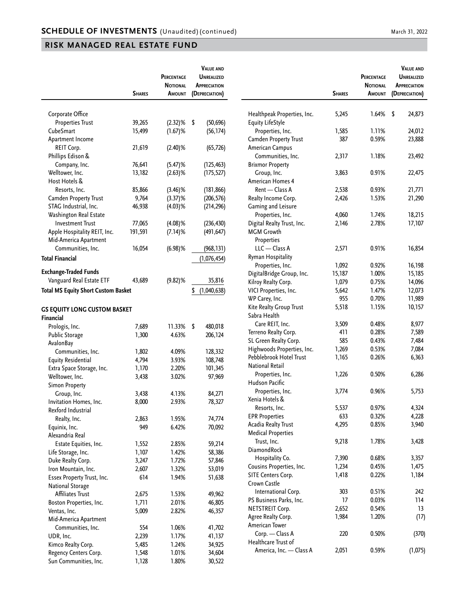|                                                          | <b>SHARES</b>  | PERCENTAGE<br><b>NOTIONAL</b><br>AMOUNT | <b>VALUE AND</b><br><b>UNREALIZED</b><br><b>APPRECIATION</b><br>(DEPRECIATION) |
|----------------------------------------------------------|----------------|-----------------------------------------|--------------------------------------------------------------------------------|
|                                                          |                |                                         |                                                                                |
| Corporate Office                                         |                |                                         |                                                                                |
| <b>Properties Trust</b>                                  | 39,265         | $(2.32)$ %                              | \$<br>(50, 696)                                                                |
| CubeSmart                                                | 15,499         | $(1.67)$ %                              | (56, 174)                                                                      |
| Apartment Income                                         |                |                                         |                                                                                |
| REIT Corp.                                               | 21,619         | $(2.40)$ %                              | (65, 726)                                                                      |
| Phillips Edison &<br>Company, Inc.                       | 76,641         | (5.47)%                                 |                                                                                |
| Welltower, Inc.                                          | 13,182         |                                         | (125, 463)                                                                     |
| Host Hotels &                                            |                | $(2.63)$ %                              | (175, 527)                                                                     |
| Resorts, Inc.                                            | 85,866         | $(3.46)$ %                              | (181, 866)                                                                     |
| <b>Camden Property Trust</b>                             | 9,764          | $(3.37)$ %                              | (206, 576)                                                                     |
| STAG Industrial, Inc.                                    | 46,938         | $(4.03)$ %                              | (214, 296)                                                                     |
| Washington Real Estate                                   |                |                                         |                                                                                |
| <b>Investment Trust</b>                                  | 77,065         | $(4.08)$ %                              | (236, 430)                                                                     |
| Apple Hospitality REIT, Inc.                             | 191,591        | $(7.14)$ %                              | (491, 647)                                                                     |
| Mid-America Apartment                                    |                |                                         |                                                                                |
| Communities, Inc.                                        | 16,054         | $(6.98)$ %                              | (968, 131)                                                                     |
| <b>Total Financial</b>                                   |                |                                         | (1,076,454)                                                                    |
|                                                          |                |                                         |                                                                                |
| <b>Exchange-Traded Funds</b><br>Vanguard Real Estate ETF |                | $(9.82)$ %                              |                                                                                |
|                                                          | 43,689         |                                         | 35,816                                                                         |
| <b>Total MS Equity Short Custom Basket</b>               |                |                                         | \$<br>(1,040,638)                                                              |
| <b>GS EQUITY LONG CUSTOM BASKET</b>                      |                |                                         |                                                                                |
| Financial                                                |                |                                         |                                                                                |
| Prologis, Inc.                                           | 7,689          | 11.33%                                  | \$<br>480,018                                                                  |
| <b>Public Storage</b>                                    | 1,300          | 4.63%                                   | 206,124                                                                        |
| AvalonBay                                                |                |                                         |                                                                                |
| Communities, Inc.                                        | 1,802          | 4.09%                                   | 128,332                                                                        |
| <b>Equity Residential</b>                                | 4,794          | 3.93%                                   | 108,748                                                                        |
| Extra Space Storage, Inc.                                | 1,170          | 2.20%                                   | 101,345                                                                        |
| Welltower, Inc.                                          | 3,438          | 3.02%                                   | 97,969                                                                         |
| <b>Simon Property</b>                                    |                |                                         |                                                                                |
| Group, Inc.                                              | 3,438          | 4.13%                                   | 84,271                                                                         |
| Invitation Homes, Inc.                                   | 8,000          | 2.93%                                   | 78,327                                                                         |
| Rexford Industrial                                       |                |                                         |                                                                                |
| Realty, Inc.                                             | 2,863          | 1.95%                                   | 74,774                                                                         |
| Equinix, Inc.                                            | 949            | 6.42%                                   | 70,092                                                                         |
| Alexandria Real                                          |                |                                         |                                                                                |
| Estate Equities, Inc.                                    | 1,552          | 2.85%                                   | 59,214                                                                         |
| Life Storage, Inc.                                       | 1,107          | 1.42%<br>1.72%                          | 58,386                                                                         |
| Duke Realty Corp.<br>Iron Mountain, Inc.                 | 3,247<br>2,607 | 1.32%                                   | 57,846<br>53,019                                                               |
| Essex Property Trust, Inc.                               | 614            | 1.94%                                   | 51,638                                                                         |
| National Storage                                         |                |                                         |                                                                                |
| <b>Affiliates Trust</b>                                  | 2,675          | 1.53%                                   | 49,962                                                                         |
| Boston Properties, Inc.                                  | 1,711          | 2.01%                                   | 46,805                                                                         |
| Ventas, Inc.                                             | 5,009          | 2.82%                                   | 46,357                                                                         |
| Mid-America Apartment                                    |                |                                         |                                                                                |
| Communities, Inc.                                        | 554            | 1.06%                                   | 41,702                                                                         |
| UDR, Inc.                                                | 2,239          | 1.17%                                   | 41,137                                                                         |
| Kimco Realty Corp.                                       | 5,485          | 1.24%                                   | 34,925                                                                         |
| Regency Centers Corp.                                    | 1,548          | 1.01%                                   | 34,604                                                                         |
| Sun Communities, Inc.                                    | 1,128          | 1.80%                                   | 30,522                                                                         |

|                                                         | <b>SHARES</b> | <b>PERCENTAGE</b><br><b>NOTIONAL</b><br>Amount | <b>VALUE AND</b><br><b>UNREALIZED</b><br>APPRECIATION<br>(DEPRECIATION) |
|---------------------------------------------------------|---------------|------------------------------------------------|-------------------------------------------------------------------------|
| Healthpeak Properties, Inc.<br><b>Equity LifeStyle</b>  | 5,245         | 1.64%                                          | \$<br>24,873                                                            |
| Properties, Inc.                                        | 1,585         | 1.11%                                          | 24,012                                                                  |
| Camden Property Trust                                   | 387           | 0.59%                                          | 23,888                                                                  |
| American Campus                                         |               |                                                |                                                                         |
| Communities, Inc.                                       | 2,317         | 1.18%                                          | 23,492                                                                  |
| <b>Brixmor Property</b>                                 |               |                                                |                                                                         |
|                                                         |               |                                                |                                                                         |
| Group, Inc.                                             | 3,863         | 0.91%                                          | 22,475                                                                  |
| American Homes 4                                        |               |                                                |                                                                         |
| Rent — Class A                                          | 2,538         | 0.93%                                          | 21,771                                                                  |
| Realty Income Corp.                                     | 2,426         | 1.53%                                          | 21,290                                                                  |
| Gaming and Leisure                                      |               |                                                |                                                                         |
| Properties, Inc.                                        | 4,060         | 1.74%                                          | 18,215                                                                  |
| Digital Realty Trust, Inc.                              | 2,146         | 2.78%                                          | 17,107                                                                  |
| <b>MGM Growth</b>                                       |               |                                                |                                                                         |
| Properties                                              |               |                                                |                                                                         |
| LLC - Class A                                           | 2,571         | 0.91%                                          | 16,854                                                                  |
| Ryman Hospitality                                       |               |                                                |                                                                         |
| Properties, Inc.                                        | 1,092         | 0.92%                                          | 16,198                                                                  |
| DigitalBridge Group, Inc.                               | 15,187        | 1.00%                                          | 15,185                                                                  |
| Kilroy Realty Corp.                                     | 1,079         | 0.75%                                          | 14,096                                                                  |
| VICI Properties, Inc.                                   | 5,642         | 1.47%                                          | 12,073                                                                  |
| WP Carey, Inc.                                          | 955           | 0.70%                                          | 11,989                                                                  |
| Kite Realty Group Trust                                 | 5,518         | 1.15%                                          | 10,157                                                                  |
| Sabra Health                                            |               |                                                |                                                                         |
| Care REIT, Inc.                                         | 3,509         | 0.48%                                          | 8,977                                                                   |
| Terreno Realty Corp.                                    | 411           | 0.28%                                          | 7,589                                                                   |
| SL Green Realty Corp.                                   | 585           | 0.43%                                          | 7,484                                                                   |
| Highwoods Properties, Inc.                              | 1,269         | 0.53%                                          | 7,084                                                                   |
| Pebblebrook Hotel Trust<br><b>National Retail</b>       | 1,165         | 0.26%                                          | 6,363                                                                   |
| Properties, Inc.<br>Hudson Pacific                      | 1,226         | 0.50%                                          | 6,286                                                                   |
| Properties, Inc.<br>Xenia Hotels &                      | 3,774         | 0.96%                                          | 5,753                                                                   |
| Resorts, Inc.                                           | 5,537         | 0.97%                                          | 4,324                                                                   |
| <b>EPR Properties</b>                                   | 633           | 0.32%                                          | 4,228                                                                   |
| <b>Acadia Realty Trust</b><br><b>Medical Properties</b> | 4,295         | 0.85%                                          | 3,940                                                                   |
| Trust, Inc.<br><b>DiamondRock</b>                       | 9,218         | 1.78%                                          | 3,428                                                                   |
| Hospitality Co.                                         | 7,390         | 0.68%                                          | 3,357                                                                   |
| Cousins Properties, Inc.                                | 1,234         | 0.45%                                          | 1,475                                                                   |
| SITE Centers Corp.                                      | 1,418         | 0.22%                                          | 1,184                                                                   |
| Crown Castle                                            |               |                                                |                                                                         |
| International Corp.                                     | 303           | 0.51%                                          | 242                                                                     |
| PS Business Parks, Inc.                                 | 17            | 0.03%                                          | 114                                                                     |
| NETSTREIT Corp.                                         | 2,652         | 0.54%                                          | 13                                                                      |
| Agree Realty Corp.                                      | 1,984         | 1.20%                                          | (17)                                                                    |
| American Tower<br>Corp. - Class A                       | 220           | 0.50%                                          | (370)                                                                   |
| Healthcare Trust of                                     |               |                                                |                                                                         |
| America, Inc. - Class A                                 | 2,051         | 0.59%                                          | (1,075)                                                                 |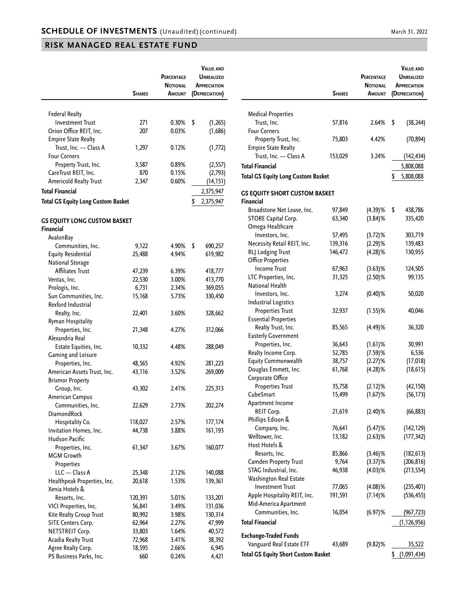|                                                    | <b>SHARES</b> | PERCENTAGE<br><b>NOTIONAL</b><br>Amount | <b>VALUE AND</b><br><b>UNREALIZED</b><br><b>APPRECIATION</b><br>(DEPRECIATION) |
|----------------------------------------------------|---------------|-----------------------------------------|--------------------------------------------------------------------------------|
|                                                    |               |                                         |                                                                                |
| <b>Federal Realty</b>                              |               |                                         |                                                                                |
| <b>Investment Trust</b>                            | 271           | 0.30%                                   | \$<br>(1, 265)                                                                 |
| Orion Office REIT, Inc.                            | 207           | 0.03%                                   | (1,686)                                                                        |
| <b>Empire State Realty</b>                         |               |                                         |                                                                                |
| Trust, Inc. - Class A                              | 1,297         | 0.12%                                   | (1,772)                                                                        |
| <b>Four Corners</b>                                |               |                                         |                                                                                |
| Property Trust, Inc.                               | 3,587         | 0.89%                                   | (2, 557)                                                                       |
| CareTrust REIT, Inc.                               | 870           | 0.15%                                   | (2,793)                                                                        |
| Americold Realty Trust                             | 2,347         | 0.60%                                   | (14, 151)                                                                      |
| <b>Total Financial</b>                             |               |                                         | 2,375,947                                                                      |
| <b>Total GS Equity Long Custom Basket</b>          |               |                                         | \$                                                                             |
|                                                    |               |                                         | 2,375,947                                                                      |
| <b>GS EQUITY LONG CUSTOM BASKET</b><br>Financial   |               |                                         |                                                                                |
| AvalonBay                                          |               |                                         |                                                                                |
| Communities, Inc.                                  |               |                                         | \$                                                                             |
| <b>Equity Residential</b>                          | 9,122         | 4.90%<br>4.94%                          | 690,257<br>619,982                                                             |
|                                                    | 25,488        |                                         |                                                                                |
| <b>National Storage</b><br><b>Affiliates Trust</b> |               | 6.39%                                   |                                                                                |
| Ventas, Inc.                                       | 47,239        |                                         | 418,777                                                                        |
|                                                    | 22,530        | 3.00%                                   | 413,770                                                                        |
| Prologis, Inc.                                     | 6,731         | 2.34%                                   | 369,055                                                                        |
| Sun Communities, Inc.                              | 15,168        | 5.73%                                   | 330,450                                                                        |
| Rexford Industrial                                 |               |                                         |                                                                                |
| Realty, Inc.                                       | 22,401        | 3.60%                                   | 328,662                                                                        |
| Ryman Hospitality                                  |               |                                         |                                                                                |
| Properties, Inc.                                   | 21,348        | 4.27%                                   | 312,066                                                                        |
| Alexandria Real                                    |               |                                         |                                                                                |
| Estate Equities, Inc.                              | 10,332        | 4.48%                                   | 288,049                                                                        |
| Gaming and Leisure                                 |               |                                         |                                                                                |
| Properties, Inc.                                   | 48,565        | 4.92%                                   | 281,223                                                                        |
| American Assets Trust, Inc.                        | 43,116        | 3.52%                                   | 269,009                                                                        |
| <b>Brixmor Property</b>                            |               |                                         |                                                                                |
| Group, Inc.                                        | 43,302        | 2.41%                                   | 225,313                                                                        |
| American Campus                                    |               |                                         |                                                                                |
| Communities, Inc.                                  | 22,629        | 2.73%                                   | 202,274                                                                        |
| DiamondRock                                        |               |                                         |                                                                                |
| Hospitality Co.                                    | 118,027       | 2.57%                                   | 177,174                                                                        |
| Invitation Homes, Inc.                             | 44,738        | 3.88%                                   | 161,193                                                                        |
| Hudson Pacific                                     |               |                                         |                                                                                |
| Properties, Inc.                                   | 61,347        | 3.67%                                   | 160,077                                                                        |
| <b>MGM Growth</b>                                  |               |                                         |                                                                                |
| Properties                                         |               |                                         |                                                                                |
| LLC - Class A                                      | 25,348        | 2.12%                                   | 140,088                                                                        |
| Healthpeak Properties, Inc.                        | 20,618        | 1.53%                                   | 139,361                                                                        |
| Xenia Hotels &                                     |               |                                         |                                                                                |
| Resorts, Inc.                                      | 120,391       | 5.01%                                   | 133,201                                                                        |
| VICI Properties, Inc.                              | 56,841        | 3.49%                                   | 131,036                                                                        |
| Kite Realty Group Trust                            | 80,992        | 3.98%                                   | 130,314                                                                        |
| SITE Centers Corp.                                 | 62,964        | 2.27%                                   | 47,999                                                                         |
| NETSTREIT Corp.                                    | 33,803        | 1.64%                                   | 40,572                                                                         |
| Acadia Realty Trust                                | 72,968        | 3.41%                                   | 38,392                                                                         |
| Agree Realty Corp.                                 | 18,595        | 2.66%                                   | 6,945                                                                          |
| PS Business Parks, Inc.                            | 660           | 0.24%                                   | 4,421                                                                          |

|                                                          | <b>SHARES</b> | <b>PERCENTAGE</b><br><b>NOTIONAL</b><br>AMOUNT | <b>VALUE AND</b><br><b>UNREALIZED</b><br>APPRECIATION<br>(DEPRECIATION) |
|----------------------------------------------------------|---------------|------------------------------------------------|-------------------------------------------------------------------------|
|                                                          |               |                                                |                                                                         |
| <b>Medical Properties</b>                                |               |                                                |                                                                         |
| Trust, Inc.                                              | 57,816        | 2.64%                                          | \$<br>(38, 244)                                                         |
| <b>Four Corners</b>                                      |               |                                                |                                                                         |
| Property Trust, Inc.                                     | 75,803        | 4.42%                                          | (70, 894)                                                               |
| <b>Empire State Realty</b>                               |               |                                                |                                                                         |
| Trust, Inc. - Class A                                    | 153,029       | 3.24%                                          | (142, 434)                                                              |
| <b>Total Financial</b>                                   |               |                                                | 5,808,088                                                               |
| <b>Total GS Equity Long Custom Basket</b>                |               |                                                | \$<br>5,808,088                                                         |
| <b>GS EQUITY SHORT CUSTOM BASKET</b><br><b>Financial</b> |               |                                                |                                                                         |
| Broadstone Net Lease, Inc.                               | 97,849        | $(4.39)$ %                                     | \$<br>438,786                                                           |
| <b>STORE Capital Corp.</b>                               | 63,340        | $(3.84)$ %                                     | 335,420                                                                 |
| Omega Healthcare                                         |               |                                                |                                                                         |
| Investors, Inc.                                          | 57,495        | $(3.72)$ %                                     | 303,719                                                                 |
| Necessity Retail REIT, Inc.                              | 139,316       | $(2.29)$ %                                     | 139,483                                                                 |
| RLJ Lodging Trust                                        | 146,472       | $(4.28)$ %                                     | 130,955                                                                 |
| <b>Office Properties</b>                                 |               |                                                |                                                                         |
| <b>Income Trust</b>                                      | 67,963        | $(3.63)$ %                                     | 124,505                                                                 |
| LTC Properties, Inc.                                     | 31,325        | $(2.50)$ %                                     | 99,135                                                                  |
| National Health                                          |               |                                                |                                                                         |
| Investors, Inc.                                          | 3,274         | $(0.40)$ %                                     | 50,020                                                                  |
| <b>Industrial Logistics</b>                              |               |                                                |                                                                         |
| <b>Properties Trust</b>                                  | 32,937        | $(1.55)$ %                                     | 40,046                                                                  |
| <b>Essential Properties</b>                              |               |                                                |                                                                         |
| Realty Trust, Inc.                                       | 85,565        | (4.49)%                                        | 36,320                                                                  |
| <b>Easterly Government</b>                               |               |                                                |                                                                         |
| Properties, Inc.                                         | 36,643        | $(1.61)$ %                                     | 30,991                                                                  |
| Realty Income Corp.                                      | 52,785        | $(7.59)$ %                                     | 6,536                                                                   |
| Equity Commonwealth                                      | 38,757        | $(2.27)$ %                                     | (17, 018)                                                               |
| Douglas Emmett, Inc.                                     | 61,768        | (4.28)%                                        | (18, 615)                                                               |
| Corporate Office                                         |               |                                                |                                                                         |
| <b>Properties Trust</b>                                  | 35,758        | $(2.12)$ %                                     | (42, 150)                                                               |
| CubeSmart                                                | 15,499        | $(1.67)$ %                                     | (56, 173)                                                               |
| Apartment Income                                         |               |                                                |                                                                         |
| REIT Corp.                                               | 21,619        | $(2.40)$ %                                     | (66, 883)                                                               |
| Phillips Edison &                                        |               |                                                |                                                                         |
| Company, Inc.                                            | 76,641        | (5.47)%                                        | (142, 129)                                                              |
| Welltower, Inc.                                          | 13,182        | $(2.63)$ %                                     | (177, 342)                                                              |
| Host Hotels &                                            |               |                                                |                                                                         |
| Resorts, Inc.                                            | 85,866        | $(3.46)$ %                                     | (182, 613)                                                              |
| <b>Camden Property Trust</b>                             | 9,764         | $(3.37)$ %                                     | (206, 816)                                                              |
| STAG Industrial, Inc.                                    | 46,938        | $(4.03)$ %                                     | (213, 554)                                                              |
| Washington Real Estate                                   |               |                                                |                                                                         |
| <b>Investment Trust</b>                                  | 77,065        | $(4.08)$ %                                     | (235, 401)                                                              |
| Apple Hospitality REIT, Inc.                             | 191,591       | $(7.14)$ %                                     | (536, 455)                                                              |
| Mid-America Apartment                                    |               |                                                |                                                                         |
| Communities, Inc.                                        | 16,054        | $(6.97)$ %                                     | (967, 723)                                                              |
| <b>Total Financial</b>                                   |               |                                                | (1, 126, 956)                                                           |
| <b>Exchange-Traded Funds</b>                             |               |                                                |                                                                         |
| Vanguard Real Estate ETF                                 | 43,689        | $(9.82)$ %                                     | 35,522                                                                  |
| <b>Total GS Equity Short Custom Basket</b>               |               |                                                | \$<br>(1,091,434)                                                       |